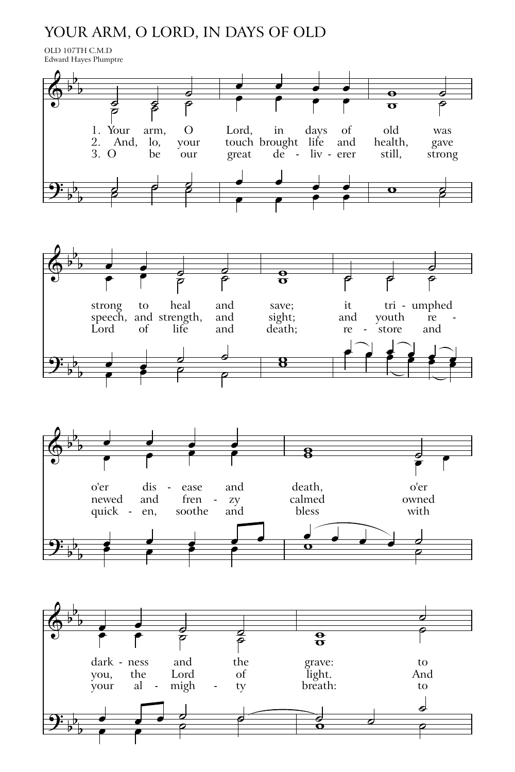## YOUR ARM, O LORD, IN DAYS OF OLD

OLD 107TH C.M.D Edward Hayes Plumptre